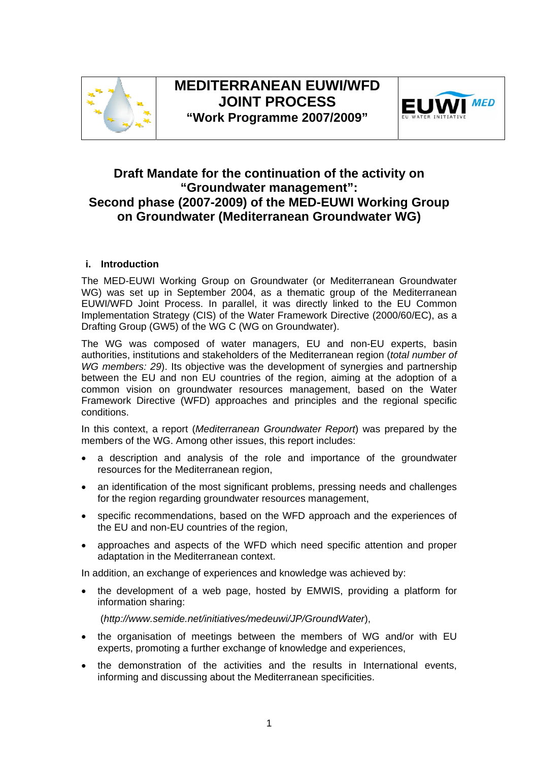



# **Draft Mandate for the continuation of the activity on "Groundwater management": Second phase (2007-2009) of the MED-EUWI Working Group on Groundwater (Mediterranean Groundwater WG)**

# **i. Introduction**

The MED-EUWI Working Group on Groundwater (or Mediterranean Groundwater WG) was set up in September 2004, as a thematic group of the Mediterranean EUWI/WFD Joint Process. In parallel, it was directly linked to the EU Common Implementation Strategy (CIS) of the Water Framework Directive (2000/60/EC), as a Drafting Group (GW5) of the WG C (WG on Groundwater).

The WG was composed of water managers, EU and non-EU experts, basin authorities, institutions and stakeholders of the Mediterranean region (*total number of WG members: 29*). Its objective was the development of synergies and partnership between the EU and non EU countries of the region, aiming at the adoption of a common vision on groundwater resources management, based on the Water Framework Directive (WFD) approaches and principles and the regional specific conditions.

In this context, a report (*Mediterranean Groundwater Report*) was prepared by the members of the WG. Among other issues, this report includes:

- a description and analysis of the role and importance of the groundwater resources for the Mediterranean region,
- an identification of the most significant problems, pressing needs and challenges for the region regarding groundwater resources management,
- specific recommendations, based on the WFD approach and the experiences of the EU and non-EU countries of the region,
- approaches and aspects of the WFD which need specific attention and proper adaptation in the Mediterranean context.

In addition, an exchange of experiences and knowledge was achieved by:

• the development of a web page, hosted by EMWIS, providing a platform for information sharing:

(*http://www.semide.net/initiatives/medeuwi/JP/GroundWater*),

- the organisation of meetings between the members of WG and/or with EU experts, promoting a further exchange of knowledge and experiences,
- the demonstration of the activities and the results in International events, informing and discussing about the Mediterranean specificities.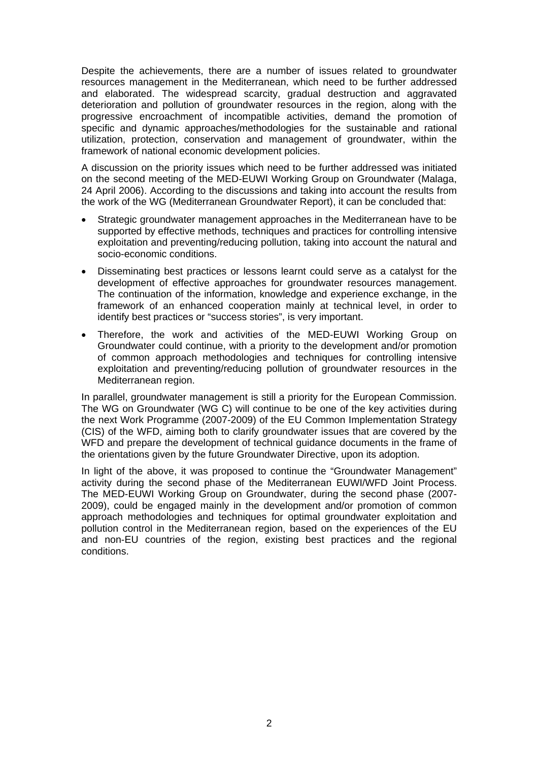Despite the achievements, there are a number of issues related to groundwater resources management in the Mediterranean, which need to be further addressed and elaborated. The widespread scarcity, gradual destruction and aggravated deterioration and pollution of groundwater resources in the region, along with the progressive encroachment of incompatible activities, demand the promotion of specific and dynamic approaches/methodologies for the sustainable and rational utilization, protection, conservation and management of groundwater, within the framework of national economic development policies.

A discussion on the priority issues which need to be further addressed was initiated on the second meeting of the MED-EUWI Working Group on Groundwater (Malaga, 24 April 2006). According to the discussions and taking into account the results from the work of the WG (Mediterranean Groundwater Report), it can be concluded that:

- Strategic groundwater management approaches in the Mediterranean have to be supported by effective methods, techniques and practices for controlling intensive exploitation and preventing/reducing pollution, taking into account the natural and socio-economic conditions.
- Disseminating best practices or lessons learnt could serve as a catalyst for the development of effective approaches for groundwater resources management. The continuation of the information, knowledge and experience exchange, in the framework of an enhanced cooperation mainly at technical level, in order to identify best practices or "success stories", is very important.
- Therefore, the work and activities of the MED-EUWI Working Group on Groundwater could continue, with a priority to the development and/or promotion of common approach methodologies and techniques for controlling intensive exploitation and preventing/reducing pollution of groundwater resources in the Mediterranean region.

In parallel, groundwater management is still a priority for the European Commission. The WG on Groundwater (WG C) will continue to be one of the key activities during the next Work Programme (2007-2009) of the EU Common Implementation Strategy (CIS) of the WFD, aiming both to clarify groundwater issues that are covered by the WFD and prepare the development of technical guidance documents in the frame of the orientations given by the future Groundwater Directive, upon its adoption.

In light of the above, it was proposed to continue the "Groundwater Management" activity during the second phase of the Mediterranean EUWI/WFD Joint Process. The MED-EUWI Working Group on Groundwater, during the second phase (2007- 2009), could be engaged mainly in the development and/or promotion of common approach methodologies and techniques for optimal groundwater exploitation and pollution control in the Mediterranean region, based on the experiences of the EU and non-EU countries of the region, existing best practices and the regional conditions.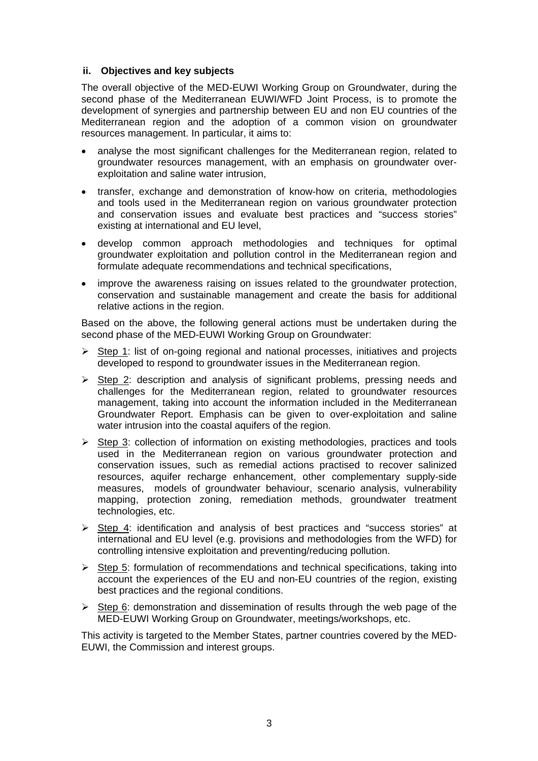## **ii. Objectives and key subjects**

The overall objective of the MED-EUWI Working Group on Groundwater, during the second phase of the Mediterranean EUWI/WFD Joint Process, is to promote the development of synergies and partnership between EU and non EU countries of the Mediterranean region and the adoption of a common vision on groundwater resources management. In particular, it aims to:

- analyse the most significant challenges for the Mediterranean region, related to groundwater resources management, with an emphasis on groundwater overexploitation and saline water intrusion,
- transfer, exchange and demonstration of know-how on criteria, methodologies and tools used in the Mediterranean region on various groundwater protection and conservation issues and evaluate best practices and "success stories" existing at international and EU level,
- develop common approach methodologies and techniques for optimal groundwater exploitation and pollution control in the Mediterranean region and formulate adequate recommendations and technical specifications,
- improve the awareness raising on issues related to the groundwater protection, conservation and sustainable management and create the basis for additional relative actions in the region.

Based on the above, the following general actions must be undertaken during the second phase of the MED-EUWI Working Group on Groundwater:

- $\triangleright$  Step 1: list of on-going regional and national processes, initiatives and projects developed to respond to groundwater issues in the Mediterranean region.
- $\triangleright$  Step 2: description and analysis of significant problems, pressing needs and challenges for the Mediterranean region, related to groundwater resources management, taking into account the information included in the Mediterranean Groundwater Report. Emphasis can be given to over-exploitation and saline water intrusion into the coastal aquifers of the region.
- $\triangleright$  Step 3: collection of information on existing methodologies, practices and tools used in the Mediterranean region on various groundwater protection and conservation issues, such as remedial actions practised to recover salinized resources, aquifer recharge enhancement, other complementary supply-side measures, models of groundwater behaviour, scenario analysis, vulnerability mapping, protection zoning, remediation methods, groundwater treatment technologies, etc.
- ¾ Step 4: identification and analysis of best practices and "success stories" at international and EU level (e.g. provisions and methodologies from the WFD) for controlling intensive exploitation and preventing/reducing pollution.
- $\triangleright$  Step 5: formulation of recommendations and technical specifications, taking into account the experiences of the EU and non-EU countries of the region, existing best practices and the regional conditions.
- $\triangleright$  Step 6: demonstration and dissemination of results through the web page of the MED-EUWI Working Group on Groundwater, meetings/workshops, etc.

This activity is targeted to the Member States, partner countries covered by the MED-EUWI, the Commission and interest groups.